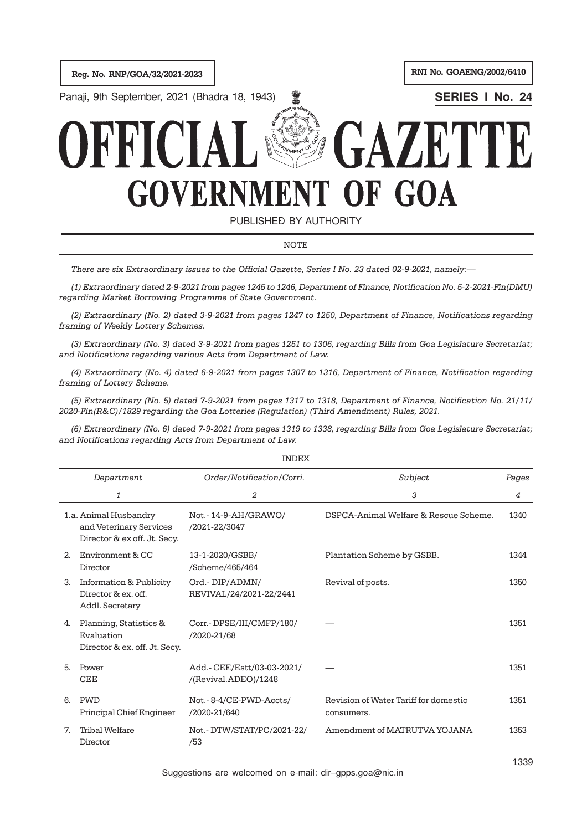

NOTE

*There are six Extraordinary issues to the Official Gazette, Series I No. 23 dated 02-9-2021, namely:—*

*(1) Extraordinary dated 2-9-2021 from pages 1245 to 1246, Department of Finance, Notification No. 5-2-2021-Fin(DMU) regarding Market Borrowing Programme of State Government.*

*(2) Extraordinary (No. 2) dated 3-9-2021 from pages 1247 to 1250, Department of Finance, Notifications regarding framing of Weekly Lottery Schemes.*

*(3) Extraordinary (No. 3) dated 3-9-2021 from pages 1251 to 1306, regarding Bills from Goa Legislature Secretariat; and Notifications regarding various Acts from Department of Law.*

*(4) Extraordinary (No. 4) dated 6-9-2021 from pages 1307 to 1316, Department of Finance, Notification regarding framing of Lottery Scheme.*

*(5) Extraordinary (No. 5) dated 7-9-2021 from pages 1317 to 1318, Department of Finance, Notification No. 21/11/ 2020-Fin(R&C)/1829 regarding the Goa Lotteries (Regulation) (Third Amendment) Rules, 2021.*

*(6) Extraordinary (No. 6) dated 7-9-2021 from pages 1319 to 1338, regarding Bills from Goa Legislature Secretariat; and Notifications regarding Acts from Department of Law.*

| Department                                                                         | Order/Notification/Corri.                          | Subject                                             | Pages |
|------------------------------------------------------------------------------------|----------------------------------------------------|-----------------------------------------------------|-------|
| 1                                                                                  | 2                                                  | 3                                                   | 4     |
| 1.a. Animal Husbandry<br>and Veterinary Services<br>Director & ex off. Jt. Secy.   | Not.-14-9-AH/GRAWO/<br>/2021-22/3047               | DSPCA-Animal Welfare & Rescue Scheme.               | 1340  |
| Environment & CC<br>2.<br>Director                                                 | 13-1-2020/GSBB/<br>/Scheme/465/464                 | Plantation Scheme by GSBB.                          | 1344  |
| <b>Information &amp; Publicity</b><br>3.<br>Director & ex. off.<br>Addl. Secretary | Ord.-DIP/ADMN/<br>REVIVAL/24/2021-22/2441          | Revival of posts.                                   | 1350  |
| Planning, Statistics &<br>4.<br>Evaluation<br>Director & ex. off. Jt. Secy.        | Corr.-DPSE/III/CMFP/180/<br>/2020-21/68            |                                                     | 1351  |
| 5.<br>Power<br><b>CEE</b>                                                          | Add.- CEE/Estt/03-03-2021/<br>/(Revival.ADEO)/1248 |                                                     | 1351  |
| <b>PWD</b><br>6.<br>Principal Chief Engineer                                       | Not.-8-4/CE-PWD-Accts/<br>/2020-21/640             | Revision of Water Tariff for domestic<br>consumers. | 1351  |
| <b>Tribal Welfare</b><br>7.<br>Director                                            | Not.- DTW/STAT/PC/2021-22/<br>/53                  | Amendment of MATRUTVA YOJANA                        | 1353  |
|                                                                                    |                                                    |                                                     | 1000  |

INDEX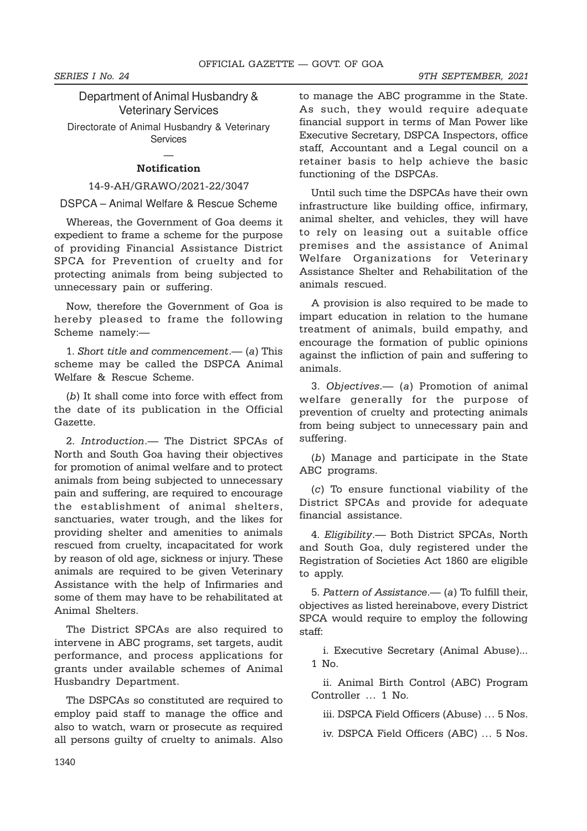Department of Animal Husbandry & Veterinary Services Directorate of Animal Husbandry & Veterinary

### — **Notification**

**Services** 

#### 14-9-AH/GRAWO/2021-22/3047

DSPCA – Animal Welfare & Rescue Scheme

Whereas, the Government of Goa deems it expedient to frame a scheme for the purpose of providing Financial Assistance District SPCA for Prevention of cruelty and for protecting animals from being subjected to unnecessary pain or suffering.

Now, therefore the Government of Goa is hereby pleased to frame the following Scheme namely:—

1. *Short title and commencement*.— (*a*) This scheme may be called the DSPCA Animal Welfare & Rescue Scheme.

(*b*) It shall come into force with effect from the date of its publication in the Official Gazette.

2. *Introduction*.— The District SPCAs of North and South Goa having their objectives for promotion of animal welfare and to protect animals from being subjected to unnecessary pain and suffering, are required to encourage the establishment of animal shelters, sanctuaries, water trough, and the likes for providing shelter and amenities to animals rescued from cruelty, incapacitated for work by reason of old age, sickness or injury. These animals are required to be given Veterinary Assistance with the help of Infirmaries and some of them may have to be rehabilitated at Animal Shelters.

The District SPCAs are also required to intervene in ABC programs, set targets, audit performance, and process applications for grants under available schemes of Animal Husbandry Department.

The DSPCAs so constituted are required to employ paid staff to manage the office and also to watch, warn or prosecute as required all persons guilty of cruelty to animals. Also

to manage the ABC programme in the State. As such, they would require adequate financial support in terms of Man Power like Executive Secretary, DSPCA Inspectors, office staff, Accountant and a Legal council on a retainer basis to help achieve the basic functioning of the DSPCAs.

Until such time the DSPCAs have their own infrastructure like building office, infirmary, animal shelter, and vehicles, they will have to rely on leasing out a suitable office premises and the assistance of Animal Welfare Organizations for Veterinary Assistance Shelter and Rehabilitation of the animals rescued.

A provision is also required to be made to impart education in relation to the humane treatment of animals, build empathy, and encourage the formation of public opinions against the infliction of pain and suffering to animals.

3. *Objectives*.— (*a*) Promotion of animal welfare generally for the purpose of prevention of cruelty and protecting animals from being subject to unnecessary pain and suffering.

(*b*) Manage and participate in the State ABC programs.

(*c*) To ensure functional viability of the District SPCAs and provide for adequate financial assistance.

4. *Eligibility*.— Both District SPCAs, North and South Goa, duly registered under the Registration of Societies Act 1860 are eligible to apply.

5. *Pattern of Assistance*.— (*a*) To fulfill their, objectives as listed hereinabove, every District SPCA would require to employ the following staff:

i. Executive Secretary (Animal Abuse)... 1 No.

ii. Animal Birth Control (ABC) Program Controller … 1 No.

iii. DSPCA Field Officers (Abuse) … 5 Nos.

iv. DSPCA Field Officers (ABC) … 5 Nos.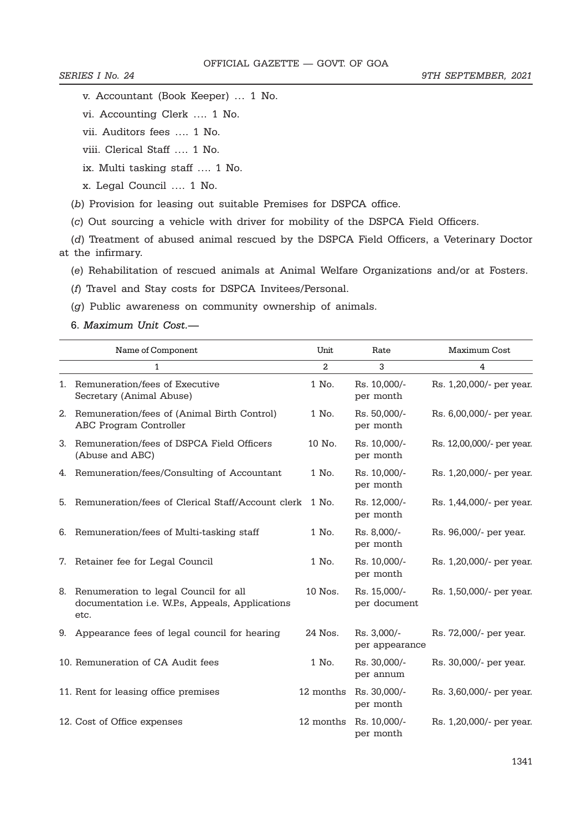v. Accountant (Book Keeper) … 1 No.

vi. Accounting Clerk …. 1 No.

vii. Auditors fees …. 1 No.

viii. Clerical Staff …. 1 No.

ix. Multi tasking staff …. 1 No.

x. Legal Council …. 1 No.

(*b*) Provision for leasing out suitable Premises for DSPCA office.

(*c*) Out sourcing a vehicle with driver for mobility of the DSPCA Field Officers.

(*d*) Treatment of abused animal rescued by the DSPCA Field Officers, a Veterinary Doctor at the infirmary.

(*e*) Rehabilitation of rescued animals at Animal Welfare Organizations and/or at Fosters.

(*f*) Travel and Stay costs for DSPCA Invitees/Personal.

(*g*) Public awareness on community ownership of animals.

6. *Maximum Unit Cost.—*

|    | Name of Component                                                                                | Unit      | Rate                          | Maximum Cost              |
|----|--------------------------------------------------------------------------------------------------|-----------|-------------------------------|---------------------------|
|    | 1                                                                                                | 2         | 3                             | 4                         |
|    | 1. Remuneration/fees of Executive<br>Secretary (Animal Abuse)                                    | 1 No.     | Rs. 10,000/-<br>per month     | Rs. 1,20,000/- per year.  |
| 2. | Remuneration/fees of (Animal Birth Control)<br>ABC Program Controller                            | 1 No.     | Rs. 50,000/-<br>per month     | Rs. 6,00,000/- per year.  |
| 3. | Remuneration/fees of DSPCA Field Officers<br>(Abuse and ABC)                                     | 10 No.    | Rs. 10,000/-<br>per month     | Rs. 12,00,000/- per year. |
| 4. | Remuneration/fees/Consulting of Accountant                                                       | 1 No.     | Rs. 10,000/-<br>per month     | Rs. 1,20,000/- per year.  |
|    | 5. Remuneration/fees of Clerical Staff/Account clerk                                             | 1 No.     | Rs. 12,000/-<br>per month     | Rs. 1,44,000/- per year.  |
| 6. | Remuneration/fees of Multi-tasking staff                                                         | 1 No.     | Rs. 8,000/-<br>per month      | Rs. 96,000/- per year.    |
| 7. | Retainer fee for Legal Council                                                                   | 1 No.     | Rs. 10,000/-<br>per month     | Rs. 1,20,000/- per year.  |
| 8. | Renumeration to legal Council for all<br>documentation i.e. W.P.s, Appeals, Applications<br>etc. | 10 Nos.   | Rs. 15,000/-<br>per document  | Rs. 1,50,000/- per year.  |
| 9. | Appearance fees of legal council for hearing                                                     | 24 Nos.   | Rs. 3,000/-<br>per appearance | Rs. 72,000/- per year.    |
|    | 10. Remuneration of CA Audit fees                                                                | 1 No.     | Rs. 30,000/-<br>per annum     | Rs. 30,000/- per year.    |
|    | 11. Rent for leasing office premises                                                             | 12 months | Rs. 30,000/-<br>per month     | Rs. 3,60,000/- per year.  |
|    | 12. Cost of Office expenses                                                                      | 12 months | Rs. 10,000/-<br>per month     | Rs. 1,20,000/- per year.  |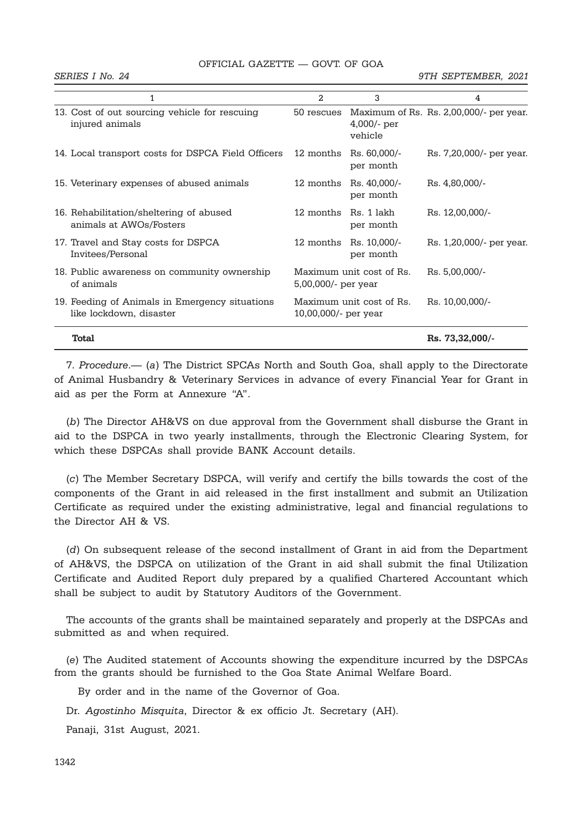| OFFICIAL GAZETTE — GOVT. OF GOA |  |  |  |
|---------------------------------|--|--|--|
|---------------------------------|--|--|--|

|                                                                           | $\overline{2}$         | 3                         | 4                                       |
|---------------------------------------------------------------------------|------------------------|---------------------------|-----------------------------------------|
| 13. Cost of out sourcing vehicle for rescuing<br>injured animals          | 50 rescues             | $4,000/$ - per<br>vehicle | Maximum of Rs. Rs. 2,00,000/- per year. |
| 14. Local transport costs for DSPCA Field Officers                        | 12 months              | Rs. 60,000/-<br>per month | Rs. 7,20,000/- per year.                |
| 15. Veterinary expenses of abused animals                                 | 12 months              | Rs. 40,000/-<br>per month | Rs. 4,80,000/-                          |
| 16. Rehabilitation/sheltering of abused<br>animals at AWOs/Fosters        | 12 months Rs. 1 lakh   | per month                 | Rs. 12,00,000/-                         |
| 17. Travel and Stay costs for DSPCA<br>Invitees/Personal                  | 12 months              | Rs. 10,000/-<br>per month | Rs. 1,20,000/- per year.                |
| 18. Public awareness on community ownership<br>of animals                 | $5,00,000/$ - per year | Maximum unit cost of Rs.  | Rs. 5,00,000/-                          |
| 19. Feeding of Animals in Emergency situations<br>like lockdown, disaster | 10,00,000/- per year   | Maximum unit cost of Rs.  | Rs. 10,00,000/-                         |
| <b>Total</b>                                                              |                        |                           | Rs. 73,32,000/-                         |

7. *Procedure*.— (*a*) The District SPCAs North and South Goa, shall apply to the Directorate of Animal Husbandry & Veterinary Services in advance of every Financial Year for Grant in aid as per the Form at Annexure "A".

(*b*) The Director AH&VS on due approval from the Government shall disburse the Grant in aid to the DSPCA in two yearly installments, through the Electronic Clearing System, for which these DSPCAs shall provide BANK Account details.

(*c*) The Member Secretary DSPCA, will verify and certify the bills towards the cost of the components of the Grant in aid released in the first installment and submit an Utilization Certificate as required under the existing administrative, legal and financial regulations to the Director AH & VS.

(*d*) On subsequent release of the second installment of Grant in aid from the Department of AH&VS, the DSPCA on utilization of the Grant in aid shall submit the final Utilization Certificate and Audited Report duly prepared by a qualified Chartered Accountant which shall be subject to audit by Statutory Auditors of the Government.

The accounts of the grants shall be maintained separately and properly at the DSPCAs and submitted as and when required.

(*e*) The Audited statement of Accounts showing the expenditure incurred by the DSPCAs from the grants should be furnished to the Goa State Animal Welfare Board.

By order and in the name of the Governor of Goa.

Dr. *Agostinho Misquita*, Director & ex officio Jt. Secretary (AH).

Panaji, 31st August, 2021.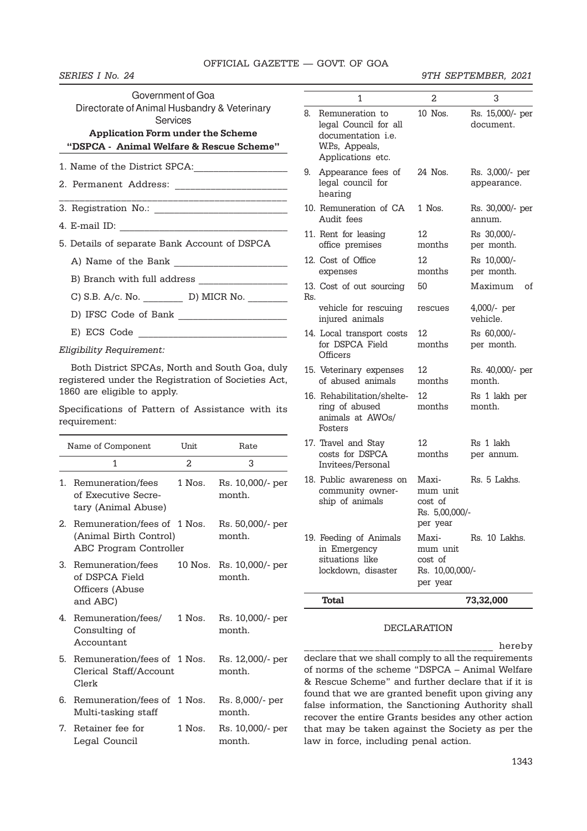| Government of Goa<br>Directorate of Animal Husbandry & Veterinary<br>Services |                                                                      |
|-------------------------------------------------------------------------------|----------------------------------------------------------------------|
| <b>Application Form under the Scheme</b>                                      |                                                                      |
| "DSPCA - Animal Welfare & Rescue Scheme"                                      |                                                                      |
|                                                                               |                                                                      |
| 2. Permanent Address: _______________________                                 |                                                                      |
|                                                                               | <u> 1980 - Johann John Harrison, martin al-Amerikaansk filozof (</u> |
|                                                                               |                                                                      |
|                                                                               |                                                                      |
| 5. Details of separate Bank Account of DSPCA                                  |                                                                      |
|                                                                               |                                                                      |
|                                                                               |                                                                      |
| C) S.B. A/c. No. ____________ D) MICR No. _________                           |                                                                      |
| D) IFSC Code of Bank                                                          |                                                                      |

E) ECS Code

*Eligibility Requirement:*

Both District SPCAs, North and South Goa, duly registered under the Registration of Societies Act, 1860 are eligible to apply.

Specifications of Pattern of Assistance with its requirement:

|                | Name of Component                                                               | Unit         | Rate                       |
|----------------|---------------------------------------------------------------------------------|--------------|----------------------------|
|                | 1                                                                               | 2            | 3                          |
| 1.             | Remuneration/fees<br>of Executive Secre-<br>tary (Animal Abuse)                 | 1 Nos.       | Rs. 10,000/- per<br>month. |
| 2 <sub>1</sub> | Remuneration/fees of 1 Nos.<br>(Animal Birth Control)<br>ABC Program Controller |              | Rs. 50,000/- per<br>month. |
| 3              | Remuneration/fees<br>of DSPCA Field<br>Officers (Abuse<br>and ABC)              | $10$ $N$ os. | Rs. 10,000/- per<br>month. |
|                | 4. Remuneration/fees/<br>Consulting of<br>Accountant                            | 1 Nos.       | Rs. 10,000/- per<br>month. |
|                | 5. Remuneration/fees of 1 Nos.<br>Clerical Staff/Account<br>Clerk               |              | Rs. 12,000/- per<br>month. |
|                | 6. Remuneration/fees of 1 Nos.<br>Multi-tasking staff                           |              | Rs. 8,000/- per<br>month.  |
| 7.             | Retainer fee for<br>Legal Council                                               | $1$ Nos.     | Rs. 10,000/- per<br>month. |

|     | 1                                                                                                             | 2                                                           | 3                              |
|-----|---------------------------------------------------------------------------------------------------------------|-------------------------------------------------------------|--------------------------------|
| 8.  | Remuneration to<br>legal Council for all<br>documentation <i>i.e.</i><br>W.P.s, Appeals,<br>Applications etc. | 10 Nos.                                                     | Rs. 15,000/- per<br>document.  |
| 9.  | Appearance fees of<br>legal council for<br>hearing                                                            | 24 Nos.                                                     | Rs. 3,000/- per<br>appearance. |
|     | 10. Remuneration of CA<br>Audit fees                                                                          | $1$ Nos.                                                    | Rs. 30,000/- per<br>annum.     |
|     | 11. Rent for leasing<br>office premises                                                                       | 12<br>months                                                | Rs 30,000/-<br>per month.      |
|     | 12. Cost of Office<br>expenses                                                                                | 12<br>months                                                | Rs 10,000/-<br>per month.      |
| Rs. | 13. Cost of out sourcing                                                                                      | 50                                                          | Maximum<br>οf                  |
|     | vehicle for rescuing<br>injured animals                                                                       | rescues                                                     | 4,000/- per<br>vehicle.        |
|     | 14. Local transport costs<br>for DSPCA Field<br>Officers                                                      | 12<br>months                                                | Rs 60,000/-<br>per month.      |
|     | 15. Veterinary expenses<br>of abused animals                                                                  | 12.<br>months                                               | Rs. 40,000/- per<br>month.     |
|     | 16. Rehabilitation/shelte-<br>ring of abused<br>animals at AWOs/<br>Fosters                                   | 12.<br>months                                               | Rs 1 lakh per<br>month.        |
|     | 17. Travel and Stay<br>costs for DSPCA<br>Invitees/Personal                                                   | 12.<br>months                                               | Rs 1 lakh<br>per annum.        |
|     | 18. Public awareness on<br>community owner-<br>ship of animals                                                | Maxi-<br>mum unit<br>cost of<br>Rs. 5,00,000/-<br>per year  | Rs. 5 Lakhs.                   |
|     | 19. Feeding of Animals<br>in Emergency<br>situations like<br>lockdown, disaster                               | Maxi-<br>mum unit<br>cost of<br>Rs. 10,00,000/-<br>per year | Rs. 10 Lakhs.                  |
|     | <b>Total</b>                                                                                                  |                                                             | 73,32,000                      |

#### DECLARATION

\_\_\_\_\_\_\_\_\_\_\_\_\_\_\_\_\_\_\_\_\_\_\_\_\_\_\_\_\_\_\_\_\_\_\_ hereby declare that we shall comply to all the requirements of norms of the scheme "DSPCA – Animal Welfare & Rescue Scheme" and further declare that if it is found that we are granted benefit upon giving any false information, the Sanctioning Authority shall recover the entire Grants besides any other action that may be taken against the Society as per the law in force, including penal action.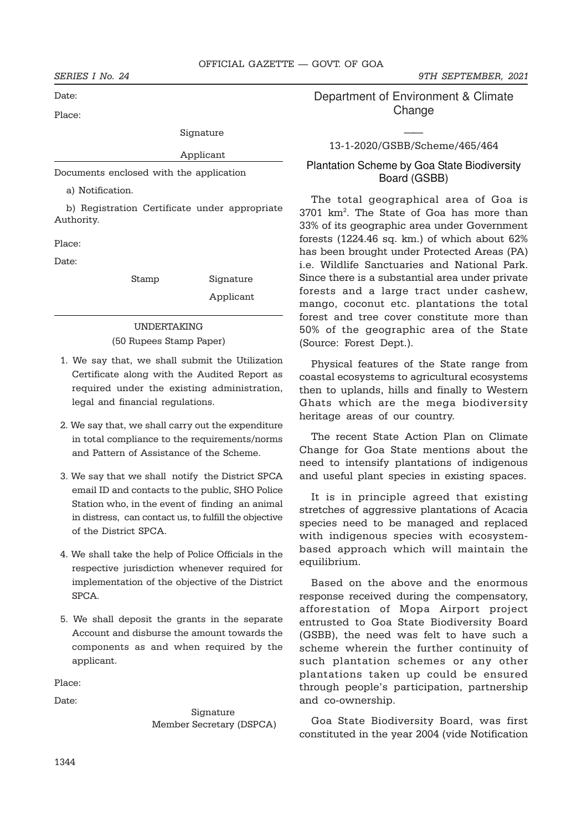Date:

Place:

Signature

# Applicant

Documents enclosed with the application

a) Notification.

b) Registration Certificate under appropriate Authority.

Place:

Date:

Stamp Signature

Applicant

# UNDERTAKING

(50 Rupees Stamp Paper)

- 1. We say that, we shall submit the Utilization Certificate along with the Audited Report as required under the existing administration, legal and financial regulations.
- 2. We say that, we shall carry out the expenditure in total compliance to the requirements/norms and Pattern of Assistance of the Scheme.
- 3. We say that we shall notify the District SPCA email ID and contacts to the public, SHO Police Station who, in the event of finding an animal in distress, can contact us, to fulfill the objective of the District SPCA.
- 4. We shall take the help of Police Officials in the respective jurisdiction whenever required for implementation of the objective of the District SPCA.
- 5. We shall deposit the grants in the separate Account and disburse the amount towards the components as and when required by the applicant.

Place:

Date:

 Signature Member Secretary (DSPCA)

*SERIES I No. 24 9TH SEPTEMBER, 2021*

Department of Environment & Climate Change

# —— 13-1-2020/GSBB/Scheme/465/464

# Plantation Scheme by Goa State Biodiversity Board (GSBB)

The total geographical area of Goa is 3701 km<sup>2</sup> . The State of Goa has more than 33% of its geographic area under Government forests (1224.46 sq. km.) of which about 62% has been brought under Protected Areas (PA) i.e. Wildlife Sanctuaries and National Park. Since there is a substantial area under private forests and a large tract under cashew, mango, coconut etc. plantations the total forest and tree cover constitute more than 50% of the geographic area of the State (Source: Forest Dept.).

Physical features of the State range from coastal ecosystems to agricultural ecosystems then to uplands, hills and finally to Western Ghats which are the mega biodiversity heritage areas of our country.

The recent State Action Plan on Climate Change for Goa State mentions about the need to intensify plantations of indigenous and useful plant species in existing spaces.

It is in principle agreed that existing stretches of aggressive plantations of Acacia species need to be managed and replaced with indigenous species with ecosystembased approach which will maintain the equilibrium.

Based on the above and the enormous response received during the compensatory, afforestation of Mopa Airport project entrusted to Goa State Biodiversity Board (GSBB), the need was felt to have such a scheme wherein the further continuity of such plantation schemes or any other plantations taken up could be ensured through people's participation, partnership and co-ownership.

Goa State Biodiversity Board, was first constituted in the year 2004 (vide Notification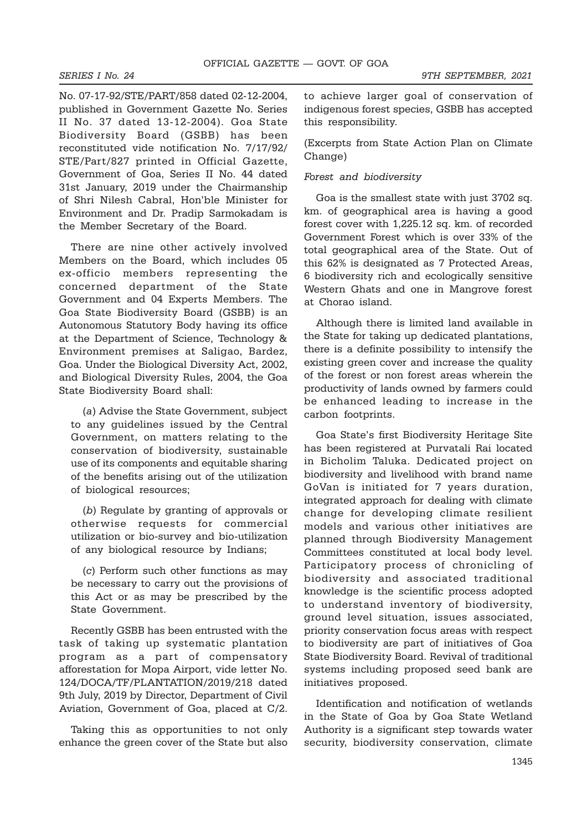No. 07-17-92/STE/PART/858 dated 02-12-2004, published in Government Gazette No. Series II No. 37 dated 13-12-2004). Goa State Biodiversity Board (GSBB) has been reconstituted vide notification No. 7/17/92/ STE/Part/827 printed in Official Gazette, Government of Goa, Series II No. 44 dated 31st January, 2019 under the Chairmanship of Shri Nilesh Cabral, Hon'ble Minister for Environment and Dr. Pradip Sarmokadam is the Member Secretary of the Board.

There are nine other actively involved Members on the Board, which includes 05 ex-officio members representing the concerned department of the State Government and 04 Experts Members. The Goa State Biodiversity Board (GSBB) is an Autonomous Statutory Body having its office at the Department of Science, Technology & Environment premises at Saligao, Bardez, Goa. Under the Biological Diversity Act, 2002, and Biological Diversity Rules, 2004, the Goa State Biodiversity Board shall:

(*a*) Advise the State Government, subject to any guidelines issued by the Central Government, on matters relating to the conservation of biodiversity, sustainable use of its components and equitable sharing of the benefits arising out of the utilization of biological resources;

(*b*) Regulate by granting of approvals or otherwise requests for commercial utilization or bio-survey and bio-utilization of any biological resource by Indians;

(*c*) Perform such other functions as may be necessary to carry out the provisions of this Act or as may be prescribed by the State Government.

Recently GSBB has been entrusted with the task of taking up systematic plantation program as a part of compensatory afforestation for Mopa Airport, vide letter No. 124/DOCA/TF/PLANTATION/2019/218 dated 9th July, 2019 by Director, Department of Civil Aviation, Government of Goa, placed at C/2.

Taking this as opportunities to not only enhance the green cover of the State but also to achieve larger goal of conservation of indigenous forest species, GSBB has accepted this responsibility.

(Excerpts from State Action Plan on Climate Change)

# *Forest and biodiversity*

Goa is the smallest state with just 3702 sq. km. of geographical area is having a good forest cover with 1,225.12 sq. km. of recorded Government Forest which is over 33% of the total geographical area of the State. Out of this 62% is designated as 7 Protected Areas, 6 biodiversity rich and ecologically sensitive Western Ghats and one in Mangrove forest at Chorao island.

Although there is limited land available in the State for taking up dedicated plantations, there is a definite possibility to intensify the existing green cover and increase the quality of the forest or non forest areas wherein the productivity of lands owned by farmers could be enhanced leading to increase in the carbon footprints.

Goa State's first Biodiversity Heritage Site has been registered at Purvatali Rai located in Bicholim Taluka. Dedicated project on biodiversity and livelihood with brand name GoVan is initiated for 7 years duration, integrated approach for dealing with climate change for developing climate resilient models and various other initiatives are planned through Biodiversity Management Committees constituted at local body level. Participatory process of chronicling of biodiversity and associated traditional knowledge is the scientific process adopted to understand inventory of biodiversity, ground level situation, issues associated, priority conservation focus areas with respect to biodiversity are part of initiatives of Goa State Biodiversity Board. Revival of traditional systems including proposed seed bank are initiatives proposed.

Identification and notification of wetlands in the State of Goa by Goa State Wetland Authority is a significant step towards water security, biodiversity conservation, climate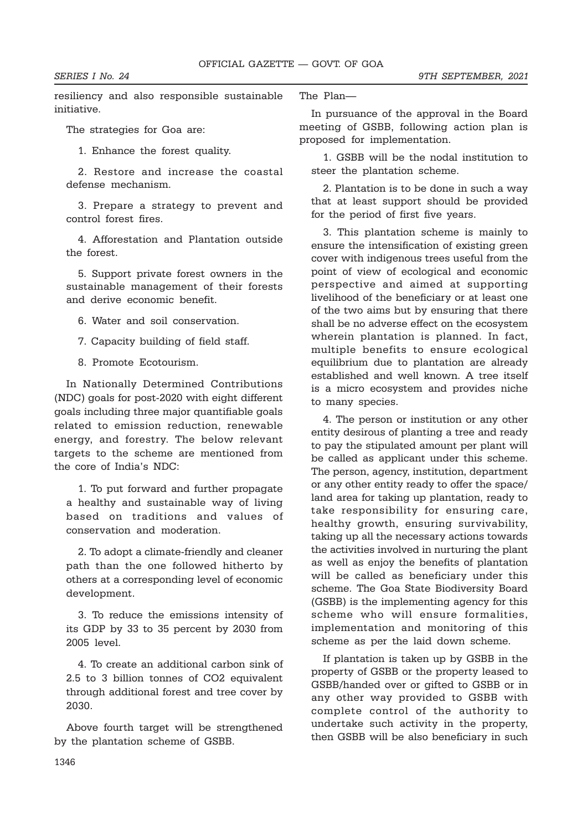resiliency and also responsible sustainable initiative.

The strategies for Goa are:

1. Enhance the forest quality.

2. Restore and increase the coastal defense mechanism.

3. Prepare a strategy to prevent and control forest fires.

4. Afforestation and Plantation outside the forest.

5. Support private forest owners in the sustainable management of their forests and derive economic benefit.

6. Water and soil conservation.

7. Capacity building of field staff.

8. Promote Ecotourism.

In Nationally Determined Contributions (NDC) goals for post-2020 with eight different goals including three major quantifiable goals related to emission reduction, renewable energy, and forestry. The below relevant targets to the scheme are mentioned from the core of India's NDC:

1. To put forward and further propagate a healthy and sustainable way of living based on traditions and values of conservation and moderation.

2. To adopt a climate-friendly and cleaner path than the one followed hitherto by others at a corresponding level of economic development.

3. To reduce the emissions intensity of its GDP by 33 to 35 percent by 2030 from 2005 level.

4. To create an additional carbon sink of 2.5 to 3 billion tonnes of CO2 equivalent through additional forest and tree cover by 2030.

Above fourth target will be strengthened by the plantation scheme of GSBB.

The Plan—

In pursuance of the approval in the Board meeting of GSBB, following action plan is proposed for implementation.

1. GSBB will be the nodal institution to steer the plantation scheme.

2. Plantation is to be done in such a way that at least support should be provided for the period of first five years.

3. This plantation scheme is mainly to ensure the intensification of existing green cover with indigenous trees useful from the point of view of ecological and economic perspective and aimed at supporting livelihood of the beneficiary or at least one of the two aims but by ensuring that there shall be no adverse effect on the ecosystem wherein plantation is planned. In fact, multiple benefits to ensure ecological equilibrium due to plantation are already established and well known. A tree itself is a micro ecosystem and provides niche to many species.

4. The person or institution or any other entity desirous of planting a tree and ready to pay the stipulated amount per plant will be called as applicant under this scheme. The person, agency, institution, department or any other entity ready to offer the space/ land area for taking up plantation, ready to take responsibility for ensuring care, healthy growth, ensuring survivability, taking up all the necessary actions towards the activities involved in nurturing the plant as well as enjoy the benefits of plantation will be called as beneficiary under this scheme. The Goa State Biodiversity Board (GSBB) is the implementing agency for this scheme who will ensure formalities, implementation and monitoring of this scheme as per the laid down scheme.

If plantation is taken up by GSBB in the property of GSBB or the property leased to GSBB/handed over or gifted to GSBB or in any other way provided to GSBB with complete control of the authority to undertake such activity in the property, then GSBB will be also beneficiary in such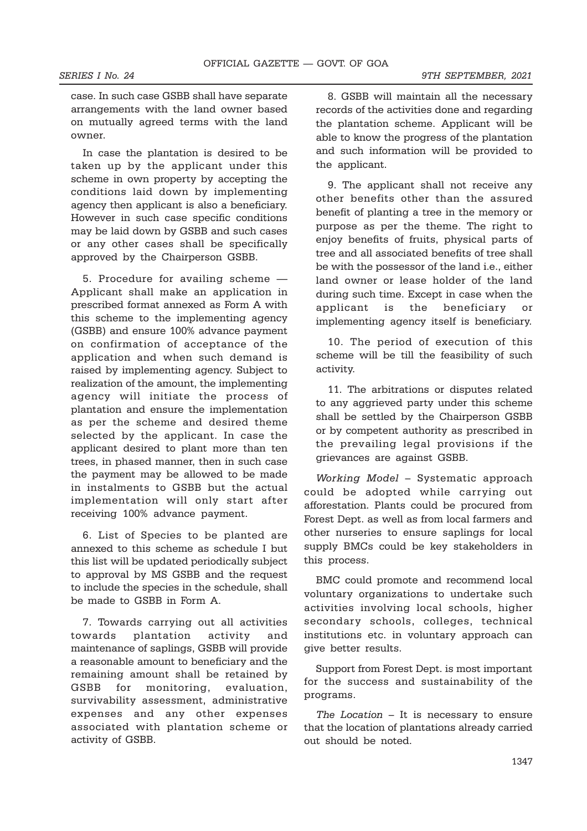case. In such case GSBB shall have separate arrangements with the land owner based on mutually agreed terms with the land owner.

In case the plantation is desired to be taken up by the applicant under this scheme in own property by accepting the conditions laid down by implementing agency then applicant is also a beneficiary. However in such case specific conditions may be laid down by GSBB and such cases or any other cases shall be specifically approved by the Chairperson GSBB.

5. Procedure for availing scheme — Applicant shall make an application in prescribed format annexed as Form A with this scheme to the implementing agency (GSBB) and ensure 100% advance payment on confirmation of acceptance of the application and when such demand is raised by implementing agency. Subject to realization of the amount, the implementing agency will initiate the process of plantation and ensure the implementation as per the scheme and desired theme selected by the applicant. In case the applicant desired to plant more than ten trees, in phased manner, then in such case the payment may be allowed to be made in instalments to GSBB but the actual implementation will only start after receiving 100% advance payment.

6. List of Species to be planted are annexed to this scheme as schedule I but this list will be updated periodically subject to approval by MS GSBB and the request to include the species in the schedule, shall be made to GSBB in Form A.

7. Towards carrying out all activities towards plantation activity and maintenance of saplings, GSBB will provide a reasonable amount to beneficiary and the remaining amount shall be retained by GSBB for monitoring, evaluation, survivability assessment, administrative expenses and any other expenses associated with plantation scheme or activity of GSBB.

8. GSBB will maintain all the necessary records of the activities done and regarding the plantation scheme. Applicant will be able to know the progress of the plantation and such information will be provided to the applicant.

9. The applicant shall not receive any other benefits other than the assured benefit of planting a tree in the memory or purpose as per the theme. The right to enjoy benefits of fruits, physical parts of tree and all associated benefits of tree shall be with the possessor of the land i.e., either land owner or lease holder of the land during such time. Except in case when the applicant is the beneficiary or implementing agency itself is beneficiary.

10. The period of execution of this scheme will be till the feasibility of such activity.

11. The arbitrations or disputes related to any aggrieved party under this scheme shall be settled by the Chairperson GSBB or by competent authority as prescribed in the prevailing legal provisions if the grievances are against GSBB.

*Working Model* – Systematic approach could be adopted while carrying out afforestation. Plants could be procured from Forest Dept. as well as from local farmers and other nurseries to ensure saplings for local supply BMCs could be key stakeholders in this process.

BMC could promote and recommend local voluntary organizations to undertake such activities involving local schools, higher secondary schools, colleges, technical institutions etc. in voluntary approach can give better results.

Support from Forest Dept. is most important for the success and sustainability of the programs.

*The Location* – It is necessary to ensure that the location of plantations already carried out should be noted.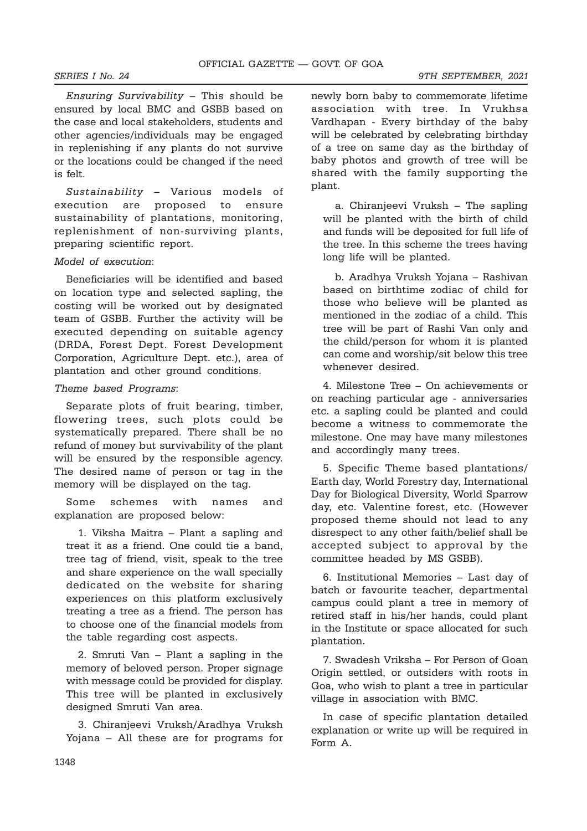*Ensuring Survivability* – This should be ensured by local BMC and GSBB based on the case and local stakeholders, students and other agencies/individuals may be engaged in replenishing if any plants do not survive or the locations could be changed if the need is felt.

*Sustainability* – Various models of execution are proposed to ensure sustainability of plantations, monitoring, replenishment of non-surviving plants, preparing scientific report.

# *Model of execution*:

Beneficiaries will be identified and based on location type and selected sapling, the costing will be worked out by designated team of GSBB. Further the activity will be executed depending on suitable agency (DRDA, Forest Dept. Forest Development Corporation, Agriculture Dept. etc.), area of plantation and other ground conditions.

### *Theme based Programs*:

Separate plots of fruit bearing, timber, flowering trees, such plots could be systematically prepared. There shall be no refund of money but survivability of the plant will be ensured by the responsible agency. The desired name of person or tag in the memory will be displayed on the tag.

Some schemes with names and explanation are proposed below:

1. Viksha Maitra – Plant a sapling and treat it as a friend. One could tie a band, tree tag of friend, visit, speak to the tree and share experience on the wall specially dedicated on the website for sharing experiences on this platform exclusively treating a tree as a friend. The person has to choose one of the financial models from the table regarding cost aspects.

2. Smruti Van – Plant a sapling in the memory of beloved person. Proper signage with message could be provided for display. This tree will be planted in exclusively designed Smruti Van area.

3. Chiranjeevi Vruksh/Aradhya Vruksh Yojana – All these are for programs for newly born baby to commemorate lifetime association with tree. In Vrukhsa Vardhapan - Every birthday of the baby will be celebrated by celebrating birthday of a tree on same day as the birthday of baby photos and growth of tree will be shared with the family supporting the plant.

a. Chiranjeevi Vruksh – The sapling will be planted with the birth of child and funds will be deposited for full life of the tree. In this scheme the trees having long life will be planted.

b. Aradhya Vruksh Yojana – Rashivan based on birthtime zodiac of child for those who believe will be planted as mentioned in the zodiac of a child. This tree will be part of Rashi Van only and the child/person for whom it is planted can come and worship/sit below this tree whenever desired.

4. Milestone Tree – On achievements or on reaching particular age - anniversaries etc. a sapling could be planted and could become a witness to commemorate the milestone. One may have many milestones and accordingly many trees.

5. Specific Theme based plantations/ Earth day, World Forestry day, International Day for Biological Diversity, World Sparrow day, etc. Valentine forest, etc. (However proposed theme should not lead to any disrespect to any other faith/belief shall be accepted subject to approval by the committee headed by MS GSBB).

6. Institutional Memories – Last day of batch or favourite teacher, departmental campus could plant a tree in memory of retired staff in his/her hands, could plant in the Institute or space allocated for such plantation.

7. Swadesh Vriksha – For Person of Goan Origin settled, or outsiders with roots in Goa, who wish to plant a tree in particular village in association with BMC.

In case of specific plantation detailed explanation or write up will be required in Form A.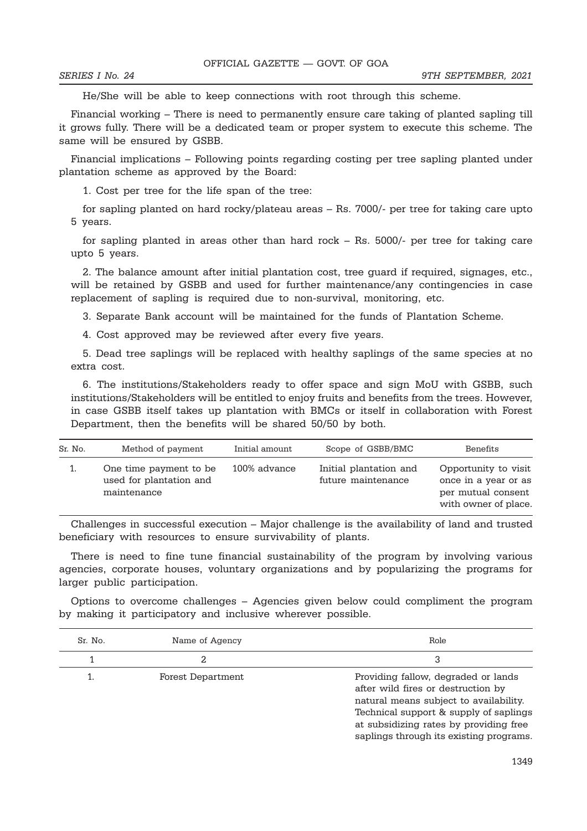He/She will be able to keep connections with root through this scheme.

Financial working – There is need to permanently ensure care taking of planted sapling till it grows fully. There will be a dedicated team or proper system to execute this scheme. The same will be ensured by GSBB.

Financial implications – Following points regarding costing per tree sapling planted under plantation scheme as approved by the Board:

1. Cost per tree for the life span of the tree:

for sapling planted on hard rocky/plateau areas – Rs. 7000/- per tree for taking care upto 5 years.

for sapling planted in areas other than hard rock – Rs. 5000/- per tree for taking care upto 5 years.

2. The balance amount after initial plantation cost, tree guard if required, signages, etc., will be retained by GSBB and used for further maintenance/any contingencies in case replacement of sapling is required due to non-survival, monitoring, etc.

3. Separate Bank account will be maintained for the funds of Plantation Scheme.

4. Cost approved may be reviewed after every five years.

5. Dead tree saplings will be replaced with healthy saplings of the same species at no extra cost.

6. The institutions/Stakeholders ready to offer space and sign MoU with GSBB, such institutions/Stakeholders will be entitled to enjoy fruits and benefits from the trees. However, in case GSBB itself takes up plantation with BMCs or itself in collaboration with Forest Department, then the benefits will be shared 50/50 by both.

| Sr. No. | Method of payment                                                | Initial amount | Scope of GSBB/BMC                            | Benefits                                                                                   |
|---------|------------------------------------------------------------------|----------------|----------------------------------------------|--------------------------------------------------------------------------------------------|
|         | One time payment to be<br>used for plantation and<br>maintenance | 100% advance   | Initial plantation and<br>future maintenance | Opportunity to visit<br>once in a year or as<br>per mutual consent<br>with owner of place. |

Challenges in successful execution – Major challenge is the availability of land and trusted beneficiary with resources to ensure survivability of plants.

There is need to fine tune financial sustainability of the program by involving various agencies, corporate houses, voluntary organizations and by popularizing the programs for larger public participation.

Options to overcome challenges – Agencies given below could compliment the program by making it participatory and inclusive wherever possible.

| Sr. No. | Name of Agency    | Role                                                                                                                                                                                                                                               |
|---------|-------------------|----------------------------------------------------------------------------------------------------------------------------------------------------------------------------------------------------------------------------------------------------|
|         |                   | 3                                                                                                                                                                                                                                                  |
|         | Forest Department | Providing fallow, degraded or lands<br>after wild fires or destruction by<br>natural means subject to availability.<br>Technical support & supply of saplings<br>at subsidizing rates by providing free<br>saplings through its existing programs. |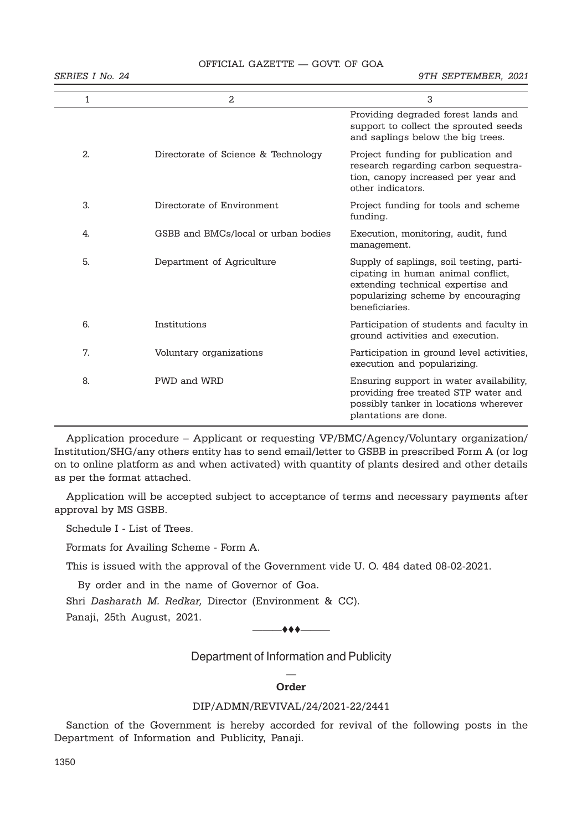# OFFICIAL GAZETTE — GOVT. OF GOA

*SERIES I No. 24 9TH SEPTEMBER, 2021*

| 1  | $\mathfrak{D}$                      | 3                                                                                                                                                                           |
|----|-------------------------------------|-----------------------------------------------------------------------------------------------------------------------------------------------------------------------------|
|    |                                     | Providing degraded forest lands and<br>support to collect the sprouted seeds<br>and saplings below the big trees.                                                           |
| 2. | Directorate of Science & Technology | Project funding for publication and<br>research regarding carbon sequestra-<br>tion, canopy increased per year and<br>other indicators.                                     |
| 3. | Directorate of Environment          | Project funding for tools and scheme<br>funding.                                                                                                                            |
| 4. | GSBB and BMCs/local or urban bodies | Execution, monitoring, audit, fund<br>management.                                                                                                                           |
| 5. | Department of Agriculture           | Supply of saplings, soil testing, parti-<br>cipating in human animal conflict,<br>extending technical expertise and<br>popularizing scheme by encouraging<br>beneficiaries. |
| 6. | Institutions                        | Participation of students and faculty in<br>ground activities and execution.                                                                                                |
| 7. | Voluntary organizations             | Participation in ground level activities,<br>execution and popularizing.                                                                                                    |
| 8. | PWD and WRD                         | Ensuring support in water availability,<br>providing free treated STP water and<br>possibly tanker in locations wherever<br>plantations are done.                           |

Application procedure – Applicant or requesting VP/BMC/Agency/Voluntary organization/ Institution/SHG/any others entity has to send email/letter to GSBB in prescribed Form A (or log on to online platform as and when activated) with quantity of plants desired and other details as per the format attached.

Application will be accepted subject to acceptance of terms and necessary payments after approval by MS GSBB.

Schedule I - List of Trees.

Formats for Availing Scheme - Form A.

This is issued with the approval of the Government vide U. O. 484 dated 08-02-2021.

By order and in the name of Governor of Goa.

Shri *Dasharath M. Redkar,* Director (Environment & CC).

Panaji, 25th August, 2021.

———ttt———

Department of Information and Publicity

# — **Order**

### DIP/ADMN/REVIVAL/24/2021-22/2441

Sanction of the Government is hereby accorded for revival of the following posts in the Department of Information and Publicity, Panaji.

1350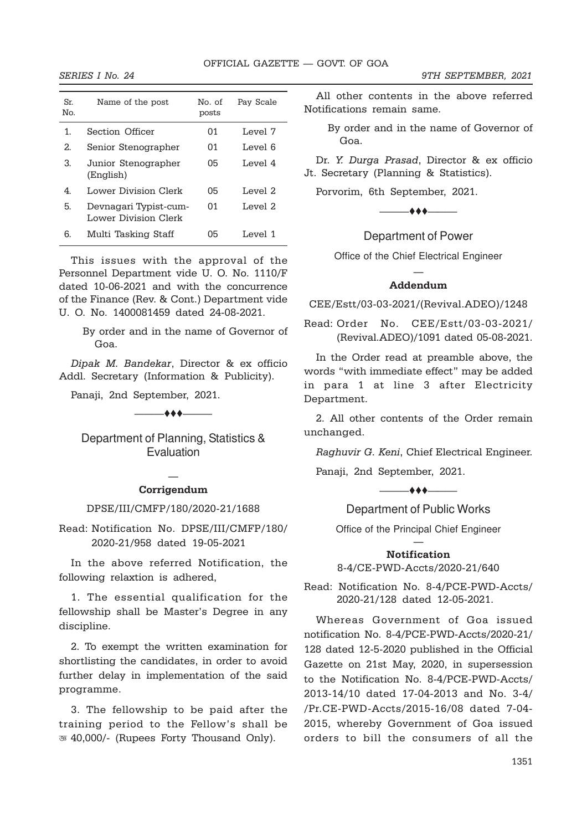| Sr.<br>Nο. | Name of the post                              | No. of<br>posts | Pay Scale |
|------------|-----------------------------------------------|-----------------|-----------|
| 1.         | Section Officer                               | 01              | Level 7   |
| 2.         | Senior Stenographer                           | 01              | Level 6   |
| 3.         | Junior Stenographer<br>(English)              | 05              | Level 4   |
| 4          | Lower Division Clerk                          | 05              | Level $2$ |
| 5.         | Devnagari Typist-cum-<br>Lower Division Clerk | 01              | Level 2   |
| 6.         | Multi Tasking Staff                           | 05              | Level 1   |

This issues with the approval of the Personnel Department vide U. O. No. 1110/F dated 10-06-2021 and with the concurrence of the Finance (Rev. & Cont.) Department vide U. O. No. 1400081459 dated 24-08-2021.

> By order and in the name of Governor of Goa.

*Dipak M. Bandekar*, Director & ex officio Addl. Secretary (Information & Publicity).

Panaji, 2nd September, 2021.

 $-$ 

Department of Planning, Statistics & Evaluation

# — **Corrigendum**

#### DPSE/III/CMFP/180/2020-21/1688

Read: Notification No. DPSE/III/CMFP/180/ 2020-21/958 dated 19-05-2021

In the above referred Notification, the following relaxtion is adhered,

1. The essential qualification for the fellowship shall be Master's Degree in any discipline.

2. To exempt the written examination for shortlisting the candidates, in order to avoid further delay in implementation of the said programme.

3. The fellowship to be paid after the training period to the Fellow's shall be ` 40,000/- (Rupees Forty Thousand Only).

All other contents in the above referred Notifications remain same.

By order and in the name of Governor of Goa.

Dr. *Y. Durga Prasad*, Director & ex officio Jt. Secretary (Planning & Statistics).

Porvorim, 6th September, 2021.



# Department of Power

Office of the Chief Electrical Engineer

# — **Addendum**

CEE/Estt/03-03-2021/(Revival.ADEO)/1248

Read: Order No. CEE/Estt/03-03-2021/ (Revival.ADEO)/1091 dated 05-08-2021.

In the Order read at preamble above, the words "with immediate effect" may be added in para 1 at line 3 after Electricity Department.

2. All other contents of the Order remain unchanged.

*Raghuvir G. Keni*, Chief Electrical Engineer.

 $\longrightarrow$  to the contract of  $\longleftarrow$ 

Panaji, 2nd September, 2021.

Department of Public Works

Office of the Principal Chief Engineer

### — **Notification**

### 8-4/CE-PWD-Accts/2020-21/640

Read: Notification No. 8-4/PCE-PWD-Accts/ 2020-21/128 dated 12-05-2021.

Whereas Government of Goa issued notification No. 8-4/PCE-PWD-Accts/2020-21/ 128 dated 12-5-2020 published in the Official Gazette on 21st May, 2020, in supersession to the Notification No. 8-4/PCE-PWD-Accts/ 2013-14/10 dated 17-04-2013 and No. 3-4/ /Pr.CE-PWD-Accts/2015-16/08 dated 7-04- 2015, whereby Government of Goa issued orders to bill the consumers of all the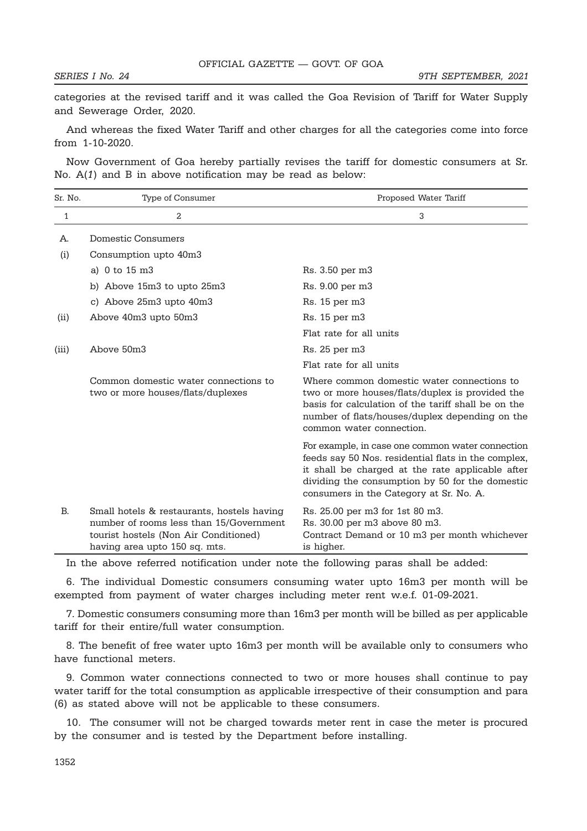categories at the revised tariff and it was called the Goa Revision of Tariff for Water Supply and Sewerage Order, 2020.

And whereas the fixed Water Tariff and other charges for all the categories come into force from 1-10-2020.

Now Government of Goa hereby partially revises the tariff for domestic consumers at Sr. No. A(*1*) and B in above notification may be read as below:

| Sr. No.      | Type of Consumer                                                                                                                                                | Proposed Water Tariff                                                                                                                                                                                                                                     |
|--------------|-----------------------------------------------------------------------------------------------------------------------------------------------------------------|-----------------------------------------------------------------------------------------------------------------------------------------------------------------------------------------------------------------------------------------------------------|
| $\mathbf{1}$ | 2                                                                                                                                                               | 3                                                                                                                                                                                                                                                         |
| А.           | Domestic Consumers                                                                                                                                              |                                                                                                                                                                                                                                                           |
| (i)          | Consumption upto 40m3                                                                                                                                           |                                                                                                                                                                                                                                                           |
|              | a) 0 to 15 m3                                                                                                                                                   | Rs. 3.50 per m3                                                                                                                                                                                                                                           |
|              | b) Above 15m3 to upto 25m3                                                                                                                                      | Rs. 9.00 per m3                                                                                                                                                                                                                                           |
|              | c) Above 25m3 upto 40m3                                                                                                                                         | Rs. 15 per m3                                                                                                                                                                                                                                             |
| (ii)         | Above 40m3 upto 50m3                                                                                                                                            | Rs. 15 per m3                                                                                                                                                                                                                                             |
|              |                                                                                                                                                                 | Flat rate for all units                                                                                                                                                                                                                                   |
| (iii)        | Above 50m3                                                                                                                                                      | Rs. 25 per m3                                                                                                                                                                                                                                             |
|              |                                                                                                                                                                 | Flat rate for all units                                                                                                                                                                                                                                   |
|              | Common domestic water connections to<br>two or more houses/flats/duplexes                                                                                       | Where common domestic water connections to<br>two or more houses/flats/duplex is provided the<br>basis for calculation of the tariff shall be on the<br>number of flats/houses/duplex depending on the<br>common water connection.                        |
|              |                                                                                                                                                                 | For example, in case one common water connection<br>feeds say 50 Nos. residential flats in the complex.<br>it shall be charged at the rate applicable after<br>dividing the consumption by 50 for the domestic<br>consumers in the Category at Sr. No. A. |
| B.           | Small hotels & restaurants, hostels having<br>number of rooms less than 15/Government<br>tourist hostels (Non Air Conditioned)<br>having area upto 150 sq. mts. | Rs. 25.00 per m3 for 1st 80 m3.<br>Rs. 30.00 per m3 above 80 m3.<br>Contract Demand or 10 m3 per month whichever<br>is higher.                                                                                                                            |

In the above referred notification under note the following paras shall be added:

6. The individual Domestic consumers consuming water upto 16m3 per month will be exempted from payment of water charges including meter rent w.e.f. 01-09-2021.

7. Domestic consumers consuming more than 16m3 per month will be billed as per applicable tariff for their entire/full water consumption.

8. The benefit of free water upto 16m3 per month will be available only to consumers who have functional meters.

9. Common water connections connected to two or more houses shall continue to pay water tariff for the total consumption as applicable irrespective of their consumption and para (6) as stated above will not be applicable to these consumers.

10. The consumer will not be charged towards meter rent in case the meter is procured by the consumer and is tested by the Department before installing.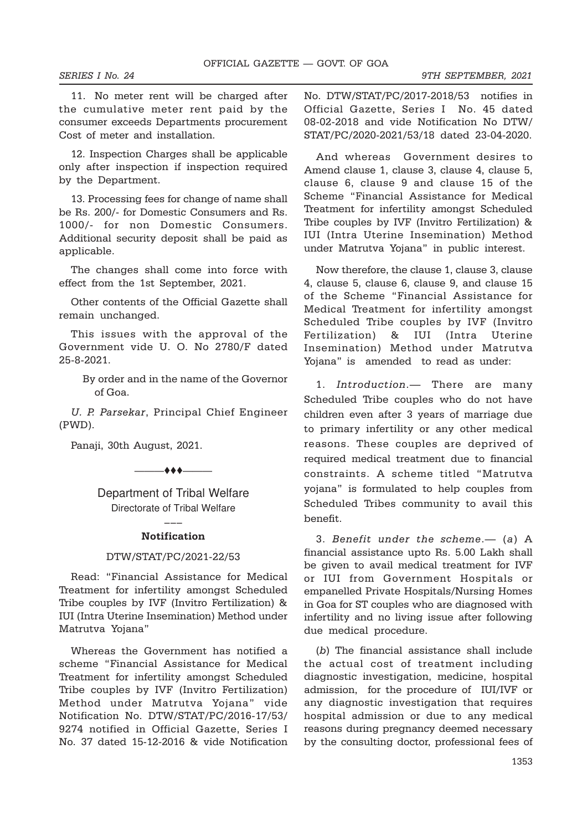11. No meter rent will be charged after the cumulative meter rent paid by the consumer exceeds Departments procurement Cost of meter and installation.

12. Inspection Charges shall be applicable only after inspection if inspection required by the Department.

13. Processing fees for change of name shall be Rs. 200/- for Domestic Consumers and Rs. 1000/- for non Domestic Consumers. Additional security deposit shall be paid as applicable.

The changes shall come into force with effect from the 1st September, 2021.

Other contents of the Official Gazette shall remain unchanged.

This issues with the approval of the Government vide U. O. No 2780/F dated 25-8-2021.

> By order and in the name of the Governor of Goa.

> > $\leftrightarrow$   $\leftarrow$

*U. P. Parsekar*, Principal Chief Engineer (PWD).

Panaji, 30th August, 2021.

Department of Tribal Welfare Directorate of Tribal Welfare

# ––– **Notification**

### DTW/STAT/PC/2021-22/53

Read: "Financial Assistance for Medical Treatment for infertility amongst Scheduled Tribe couples by IVF (Invitro Fertilization) & IUI (Intra Uterine Insemination) Method under Matrutva Yojana"

Whereas the Government has notified a scheme "Financial Assistance for Medical Treatment for infertility amongst Scheduled Tribe couples by IVF (Invitro Fertilization) Method under Matrutva Yojana" vide Notification No. DTW/STAT/PC/2016-17/53/ 9274 notified in Official Gazette, Series I No. 37 dated 15-12-2016 & vide Notification No. DTW/STAT/PC/2017-2018/53 notifies in Official Gazette, Series I No. 45 dated 08-02-2018 and vide Notification No DTW/ STAT/PC/2020-2021/53/18 dated 23-04-2020.

And whereas Government desires to Amend clause 1, clause 3, clause 4, clause 5, clause 6, clause 9 and clause 15 of the Scheme "Financial Assistance for Medical Treatment for infertility amongst Scheduled Tribe couples by IVF (Invitro Fertilization) & IUI (Intra Uterine Insemination) Method under Matrutva Yojana" in public interest.

Now therefore, the clause 1, clause 3, clause 4, clause 5, clause 6, clause 9, and clause 15 of the Scheme "Financial Assistance for Medical Treatment for infertility amongst Scheduled Tribe couples by IVF (Invitro Fertilization) & IUI (Intra Uterine Insemination) Method under Matrutva Yojana" is amended to read as under:

1. *Introduction*.— There are many Scheduled Tribe couples who do not have children even after 3 years of marriage due to primary infertility or any other medical reasons. These couples are deprived of required medical treatment due to financial constraints. A scheme titled "Matrutva yojana" is formulated to help couples from Scheduled Tribes community to avail this benefit.

3. *Benefit under the scheme*.— (*a*) A financial assistance upto Rs. 5.00 Lakh shall be given to avail medical treatment for IVF or IUI from Government Hospitals or empanelled Private Hospitals/Nursing Homes in Goa for ST couples who are diagnosed with infertility and no living issue after following due medical procedure.

(*b*) The financial assistance shall include the actual cost of treatment including diagnostic investigation, medicine, hospital admission, for the procedure of IUI/IVF or any diagnostic investigation that requires hospital admission or due to any medical reasons during pregnancy deemed necessary by the consulting doctor, professional fees of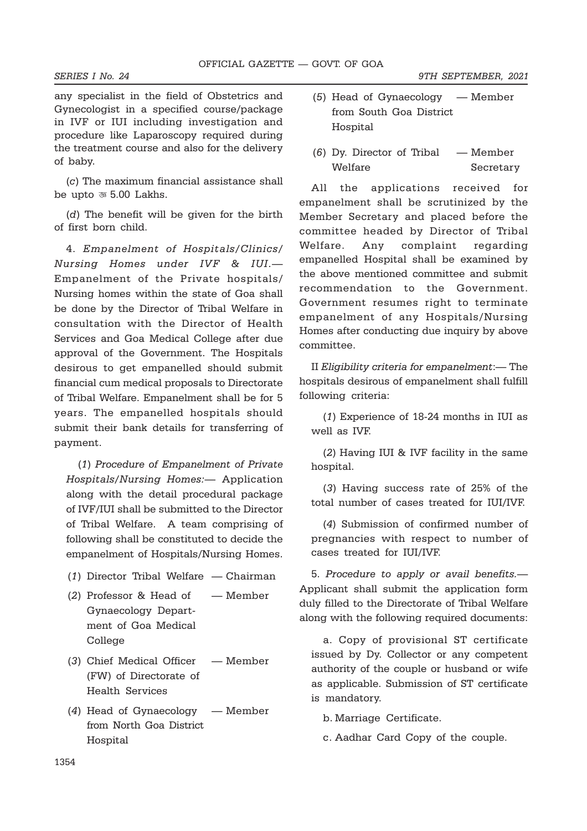any specialist in the field of Obstetrics and Gynecologist in a specified course/package in IVF or IUI including investigation and procedure like Laparoscopy required during the treatment course and also for the delivery of baby.

(*c*) The maximum financial assistance shall be upto  $\overline{\circ}$  5.00 Lakhs.

(*d*) The benefit will be given for the birth of first born child.

4. *Empanelment of Hospitals/Clinics/ Nursing Homes under IVF & IUI*.— Empanelment of the Private hospitals/ Nursing homes within the state of Goa shall be done by the Director of Tribal Welfare in consultation with the Director of Health Services and Goa Medical College after due approval of the Government. The Hospitals desirous to get empanelled should submit financial cum medical proposals to Directorate of Tribal Welfare. Empanelment shall be for 5 years. The empanelled hospitals should submit their bank details for transferring of payment.

(*1*) *Procedure of Empanelment of Private Hospitals/Nursing Homes:*— Application along with the detail procedural package of IVF/IUI shall be submitted to the Director of Tribal Welfare. A team comprising of following shall be constituted to decide the empanelment of Hospitals/Nursing Homes.

- (*1*) Director Tribal Welfare Chairman
- (*2*) Professor & Head of Member Gynaecology Department of Goa Medical College
- (*3*) Chief Medical Officer Member (FW) of Directorate of Health Services
- (*4*) Head of Gynaecology Member from North Goa District Hospital
- (*5*) Head of Gynaecology Member from South Goa District **Hospital**
- (*6*) Dy. Director of Tribal Member Welfare Secretary

All the applications received for empanelment shall be scrutinized by the Member Secretary and placed before the committee headed by Director of Tribal Welfare. Any complaint regarding empanelled Hospital shall be examined by the above mentioned committee and submit recommendation to the Government. Government resumes right to terminate empanelment of any Hospitals/Nursing Homes after conducting due inquiry by above committee.

II *Eligibility criteria for empanelment*:— The hospitals desirous of empanelment shall fulfill following criteria:

(*1*) Experience of 18-24 months in IUI as well as IVF.

(*2*) Having IUI & IVF facility in the same hospital.

(*3*) Having success rate of 25% of the total number of cases treated for IUI/IVF.

(*4*) Submission of confirmed number of pregnancies with respect to number of cases treated for IUI/IVF.

5. *Procedure to apply or avail benefits.*— Applicant shall submit the application form duly filled to the Directorate of Tribal Welfare along with the following required documents:

a. Copy of provisional ST certificate issued by Dy. Collector or any competent authority of the couple or husband or wife as applicable. Submission of ST certificate is mandatory.

b. Marriage Certificate.

c. Aadhar Card Copy of the couple.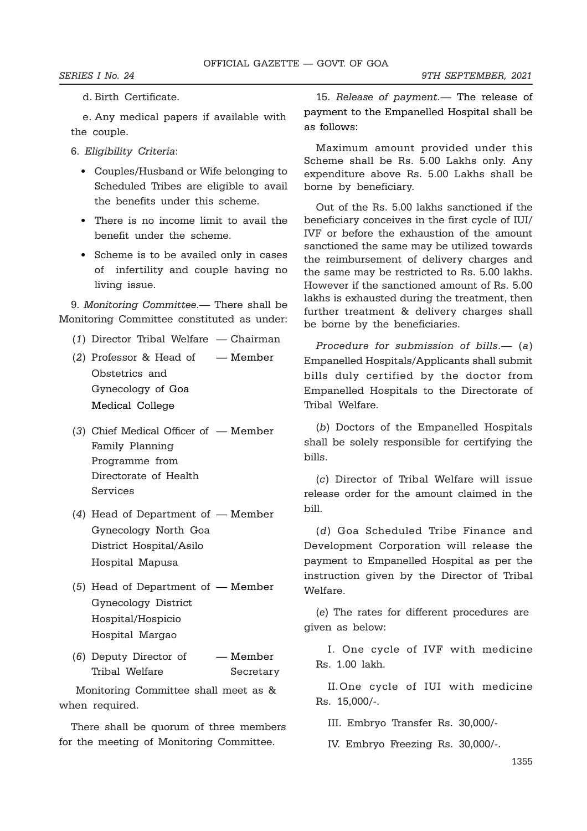#### d. Birth Certificate.

e. Any medical papers if available with the couple.

- 6. *Eligibility Criteria*:
	- Couples/Husband or Wife belonging to Scheduled Tribes are eligible to avail the benefits under this scheme.
	- There is no income limit to avail the benefit under the scheme.
	- Scheme is to be availed only in cases of infertility and couple having no living issue.

9. *Monitoring Committee*.— There shall be Monitoring Committee constituted as under:

- (*1*) Director Tribal Welfare Chairman
- (*2*) Professor & Head of Member Obstetrics and Gynecology of Goa Medical College
- (*3*) Chief Medical Officer of Member Family Planning Programme from Directorate of Health Services
- (*4*) Head of Department of Member Gynecology North Goa District Hospital/Asilo Hospital Mapusa
- (*5*) Head of Department of Member Gynecology District Hospital/Hospicio Hospital Margao
- (*6*) Deputy Director of Member Tribal Welfare **Secretary**

 Monitoring Committee shall meet as & when required.

There shall be quorum of three members for the meeting of Monitoring Committee.

15. *Release of payment.*— The release of payment to the Empanelled Hospital shall be as follows:

Maximum amount provided under this Scheme shall be Rs. 5.00 Lakhs only. Any expenditure above Rs. 5.00 Lakhs shall be borne by beneficiary.

Out of the Rs. 5.00 lakhs sanctioned if the beneficiary conceives in the first cycle of IUI/ IVF or before the exhaustion of the amount sanctioned the same may be utilized towards the reimbursement of delivery charges and the same may be restricted to Rs. 5.00 lakhs. However if the sanctioned amount of Rs. 5.00 lakhs is exhausted during the treatment, then further treatment & delivery charges shall be borne by the beneficiaries.

*Procedure for submission of bills*.— (*a*) Empanelled Hospitals/Applicants shall submit bills duly certified by the doctor from Empanelled Hospitals to the Directorate of Tribal Welfare.

(*b*) Doctors of the Empanelled Hospitals shall be solely responsible for certifying the bills.

(*c*) Director of Tribal Welfare will issue release order for the amount claimed in the bill.

(*d*) Goa Scheduled Tribe Finance and Development Corporation will release the payment to Empanelled Hospital as per the instruction given by the Director of Tribal Welfare.

(*e*) The rates for different procedures are given as below:

I. One cycle of IVF with medicine Rs. 1.00 lakh.

II.One cycle of IUI with medicine Rs. 15,000/-.

III. Embryo Transfer Rs. 30,000/-

IV. Embryo Freezing Rs. 30,000/-.